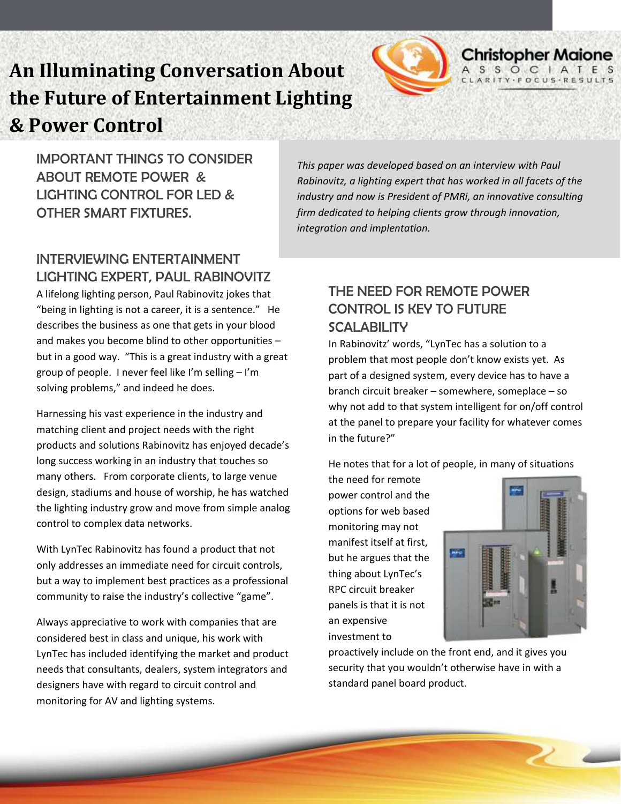# **An Illuminating Conversation About the Future of Entertainment Lighting & Power Control**



# INTERVIEWING ENTERTAINMENT LIGHTING EXPERT, PAUL RABINOVITZ

A lifelong lighting person, Paul Rabinovitz jokes that "being in lighting is not a career, it is a sentence." He describes the business as one that gets in your blood and makes you become blind to other opportunities – but in a good way. "This is a great industry with a great group of people. I never feel like I'm selling – I'm  solving problems," and indeed he does.

Harnessing his vast experience in the industry and matching client and project needs with the right products and solutions Rabinovitz has enjoyed decade's long success working in an industry that touches so many others. From corporate clients, to large venue design, stadiums and house of worship, he has watched the lighting industry grow and move from simple analog control to complex data networks.

With LynTec Rabinovitz has found a product that not only addresses an immediate need for circuit controls, but a way to implement best practices as a professional community to raise the industry's collective "game".

Always appreciative to work with companies that are considered best in class and unique, his work with LynTec has included identifying the market and product needs that consultants, dealers, system integrators and designers have with regard to circuit control and monitoring for AV and lighting systems.

*This paper was developed based on an interview with Paul Rabinovitz, a lighting expert that has worked in all facets of the industry and now is President of PMRi, an innovative consulting firm dedicated to helping clients grow through innovation, integration and implentation.* 

# THE NEED FOR REMOTE POWER CONTROL IS KEY TO FUTURE **SCALABILITY**

In Rabinovitz' words, "LynTec has a solution to a problem that most people don't know exists yet. As part of a designed system, every device has to have a branch circuit breaker – somewhere, someplace – so why not add to that system intelligent for on/off control at the panel to prepare your facility for whatever comes in the future?"

He notes that for a lot of people, in many of situations

the need for remote power control and the options for web based monitoring may not manifest itself at first, but he argues that the thing about LynTec's RPC circuit breaker panels is that it is not an expensive investment to



**Christopher Maione** 

proactively include on the front end, and it gives you security that you wouldn't otherwise have in with a standard panel board product.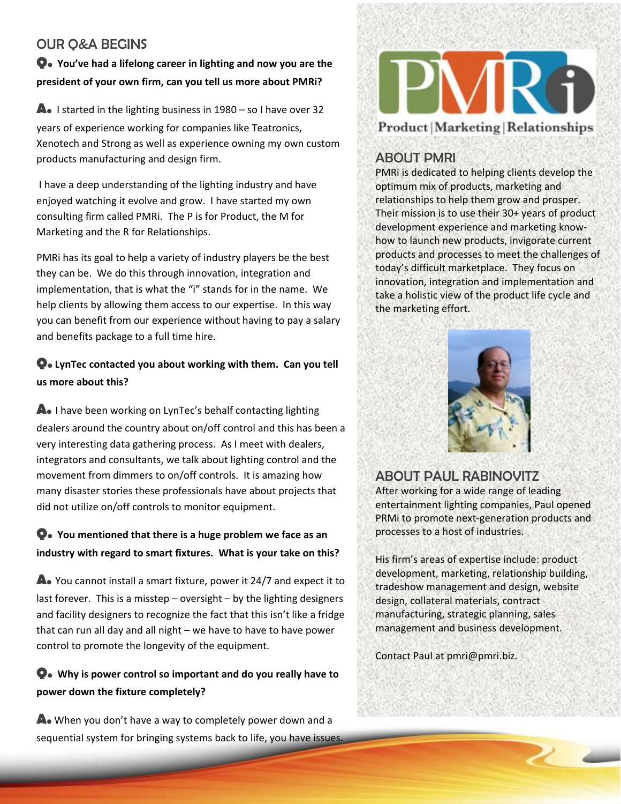# OUR Q&A BEGINS

# **Q. You've had a lifelong career in lighting and now you are the president of your own firm, can you tell us more about PMRi?**

**A.** I started in the lighting business in 1980 – so I have over 32 years of experience working for companies like Teatronics, Xenotech and Strong as well as experience owning my own custom products manufacturing and design firm.

I have a deep understanding of the lighting industry and have enjoyed watching it evolve and grow. I have started my own consulting firm called PMRi. The P is for Product, the M for Marketing and the R for Relationships.

PMRi has its goal to help a variety of industry players be the best they can be. We do this through innovation, integration and implementation, that is what the "i" stands for in the name. We help clients by allowing them access to our expertise. In this way you can benefit from our experience without having to pay a salary and benefits package to a full time hire.

# **Q. LynTec contacted you about working with them. Can you tell us more about this?**

**A.** I have been working on LynTec's behalf contacting lighting dealers around the country about on/off control and this has been a very interesting data gathering process. As I meet with dealers, integrators and consultants, we talk about lighting control and the movement from dimmers to on/off controls. It is amazing how many disaster stories these professionals have about projects that did not utilize on/off controls to monitor equipment.

# **Q. You mentioned that there is a huge problem we face as an industry with regard to smart fixtures. What is your take on this?**

**A.** You cannot install a smart fixture, power it 24/7 and expect it to last forever. This is a misstep – oversight – by the lighting designers and facility designers to recognize the fact that this isn't like a fridge that can run all day and all night – we have to have to have power control to promote the longevity of the equipment.

# **Q. Why is power control so important and do you really have to power down the fixture completely?**

**A.** When you don't have a way to completely power down and a sequential system for bringing systems back to life, you have issues.



# ABOUT PMRI

PMRi is dedicated to helping clients develop the optimum mix of products, marketing and relationships to help them grow and prosper. Their mission is to use their 30+ years of product development experience and marketing knowhow to launch new products, invigorate current products and processes to meet the challenges of today's difficult marketplace. They focus on innovation, integration and implementation and take a holistic view of the product life cycle and the marketing effort.



# ABOUT PAUL RABINOVITZ

After working for a wide range of leading entertainment lighting companies, Paul opened PRMi to promote next-generation products and processes to a host of industries.

His firm's areas of expertise include: product development, marketing, relationship building, tradeshow management and design, website design, collateral materials, contract manufacturing, strategic planning, sales management and business development.

To contact Paul, reach him at pmri@pmri.biz.

Contact Paul at pmri@pmri.biz.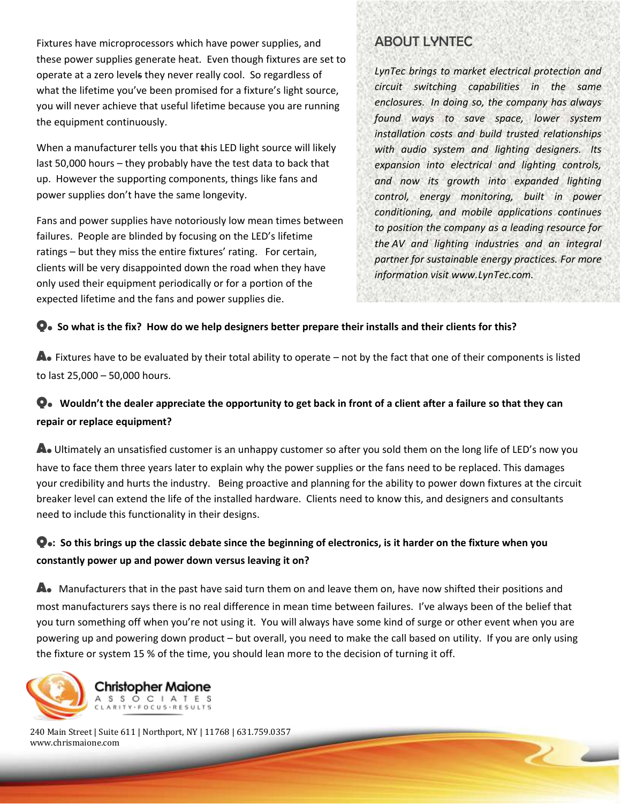Fixtures have microprocessors which have power supplies, and these power supplies generate heat. Even though fixtures are set to operate at a zero levels they never really cool. So regardless of what the lifetime you've been promised for a fixture's light source, you will never achieve that useful lifetime because you are running the equipment continuously.

When a manufacturer tells you that this LED light source will likely last 50,000 hours – they probably have the test data to back that up. However the supporting components, things like fans and power supplies don't have the same longevity.

Fans and power supplies have notoriously low mean times between failures. People are blinded by focusing on the LED's lifetime ratings – but they miss the entire fixtures' rating. For certain, clients will be very disappointed down the road when they have only used their equipment periodically or for a portion of the expected lifetime and the fans and power supplies die.

#### ABOUT LYNTEC

*LynTec brings to market electrical protection and circuit switching capabilities in the same enclosures. In doing so, the company has always found ways to save space, lower system installation costs and build trusted relationships with audio system and lighting designers. Its expansion into electrical and lighting controls, and now its growth into expanded lighting control, energy monitoring, built in power conditioning, and mobile applications continues to position the company as a leading resource for the AV and lighting industries and an integral partner for sustainable energy practices. For more information visit www.LynTec.com.*

 $\sim$   $\sim$ 

#### **Q. So what is the fix? How do we help designers better prepare their installs and their clients for this?**

**A.** Fixtures have to be evaluated by their total ability to operate – not by the fact that one of their components is listed to last 25,000 – 50,000 hours.

#### **Q. Wouldn't the dealer appreciate the opportunity to get back in front of a client after a failure so that they can repair or replace equipment?**

**A.** Ultimately an unsatisfied customer is an unhappy customer so after you sold them on the long life of LED's now you have to face them three years later to explain why the power supplies or the fans need to be replaced. This damages your credibility and hurts the industry. Being proactive and planning for the ability to power down fixtures at the circuit breaker level can extend the life of the installed hardware. Clients need to know this, and designers and consultants need to include this functionality in their designs.

#### **Q.: So this brings up the classic debate since the beginning of electronics, is it harder on the fixture when you constantly power up and power down versus leaving it on?**

**A.** Manufacturers that in the past have said turn them on and leave them on, have now shifted their positions and most manufacturers says there is no real difference in mean time between failures. I've always been of the belief that you turn something off when you're not using it. You will always have some kind of surge or other event when you are powering up and powering down product – but overall, you need to make the call based on utility. If you are only using the fixture or system 15 % of the time, you should lean more to the decision of turning it off.



240 Main Street | Suite 611 | Northport, NY | 11768 | 631.759.0357 www.chrismaione.com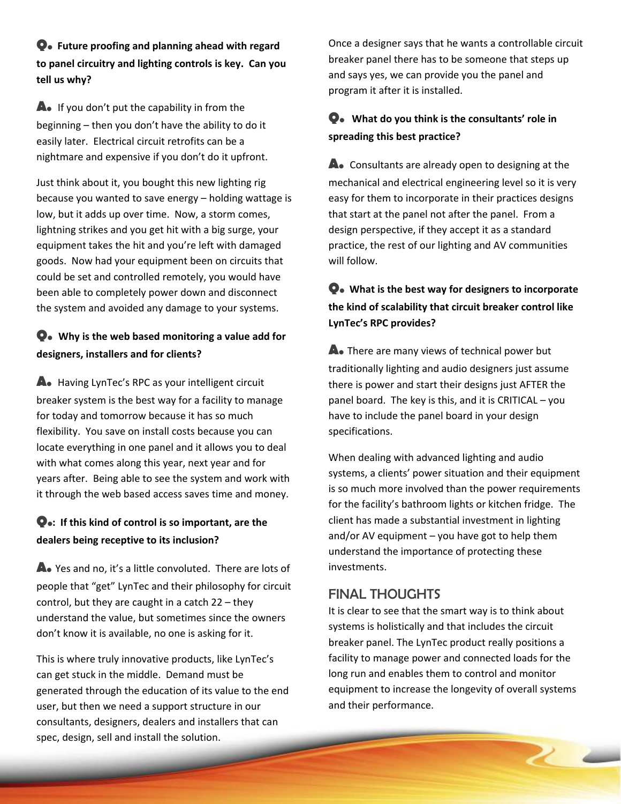**Q. Future proofing and planning ahead with regard to panel circuitry and lighting controls is key. Can you tell us why?**

**A.** If you don't put the capability in from the beginning – then you don't have the ability to do it easily later. Electrical circuit retrofits can be a nightmare and expensive if you don't do it upfront.

Just think about it, you bought this new lighting rig because you wanted to save energy – holding wattage is low, but it adds up over time. Now, a storm comes, lightning strikes and you get hit with a big surge, your equipment takes the hit and you're left with damaged goods. Now had your equipment been on circuits that could be set and controlled remotely, you would have been able to completely power down and disconnect the system and avoided any damage to your systems.

### **Q. Why is the web based monitoring a value add for designers, installers and for clients?**

**A.** Having LynTec's RPC as your intelligent circuit breaker system is the best way for a facility to manage for today and tomorrow because it has so much flexibility. You save on install costs because you can locate everything in one panel and it allows you to deal with what comes along this year, next year and for years after. Being able to see the system and work with it through the web based access saves time and money.

#### **Q.: If this kind of control is so important, are the dealers being receptive to its inclusion?**

**A.** Yes and no, it's a little convoluted. There are lots of people that "get" LynTec and their philosophy for circuit control, but they are caught in a catch 22 – they understand the value, but sometimes since the owners don't know it is available, no one is asking for it.

This is where truly innovative products, like LynTec's can get stuck in the middle. Demand must be generated through the education of its value to the end user, but then we need a support structure in our consultants, designers, dealers and installers that can spec, design, sell and install the solution.

Once a designer says that he wants a controllable circuit breaker panel there has to be someone that steps up and says yes, we can provide you the panel and program it after it is installed.

#### **Q. What do you think is the consultants' role in spreading this best practice?**

**A.** Consultants are already open to designing at the mechanical and electrical engineering level so it is very easy for them to incorporate in their practices designs that start at the panel not after the panel. From a design perspective, if they accept it as a standard practice, the rest of our lighting and AV communities will follow.

#### **Q. What is the best way for designers to incorporate the kind of scalability that circuit breaker control like LynTec's RPC provides?**

**A.** There are many views of technical power but traditionally lighting and audio designers just assume there is power and start their designs just AFTER the panel board. The key is this, and it is CRITICAL – you have to include the panel board in your design specifications.

When dealing with advanced lighting and audio systems, a clients' power situation and their equipment is so much more involved than the power requirements for the facility's bathroom lights or kitchen fridge. The client has made a substantial investment in lighting and/or AV equipment – you have got to help them understand the importance of protecting these investments.

# FINAL THOUGHTS

It is clear to see that the smart way is to think about systems is holistically and that includes the circuit breaker panel. The LynTec product really positions a facility to manage power and connected loads for the long run and enables them to control and monitor equipment to increase the longevity of overall systems and their performance.

 $\overline{\phantom{a}}$